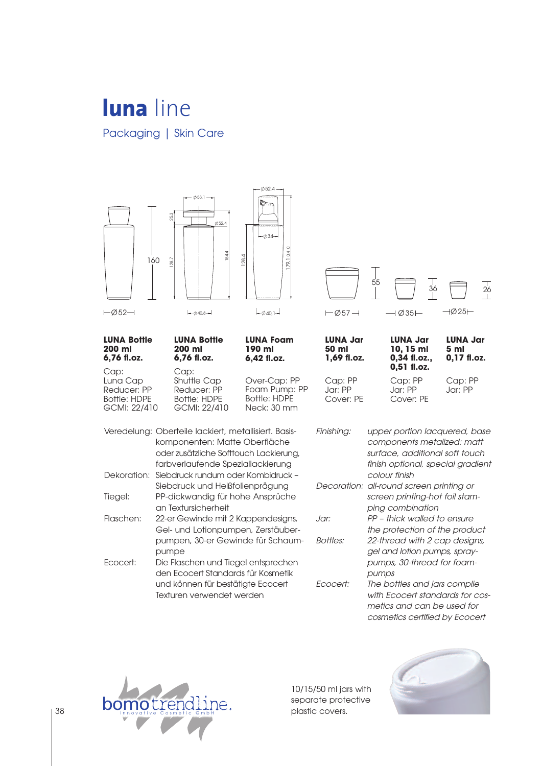## **luna** line Packaging | Skin Care





10/15/50 ml jars with separate protective plastic covers.